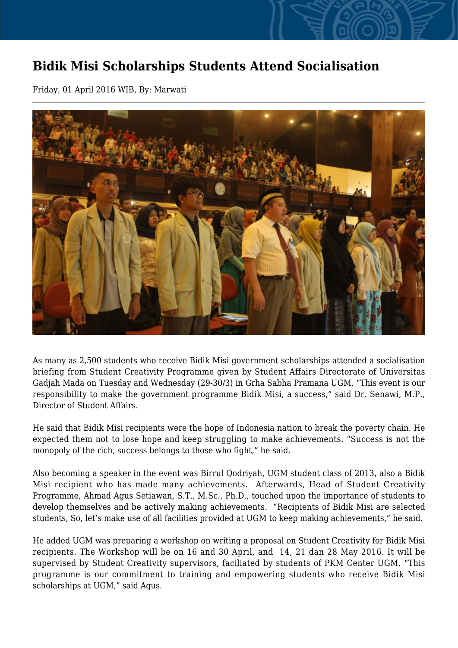## **Bidik Misi Scholarships Students Attend Socialisation**

Friday, 01 April 2016 WIB, By: Marwati



As many as 2,500 students who receive Bidik Misi government scholarships attended a socialisation briefing from Student Creativity Programme given by Student Affairs Directorate of Universitas Gadjah Mada on Tuesday and Wednesday (29-30/3) in Grha Sabha Pramana UGM. "This event is our responsibility to make the government programme Bidik Misi, a success," said Dr. Senawi, M.P., Director of Student Affairs.

He said that Bidik Misi recipients were the hope of Indonesia nation to break the poverty chain. He expected them not to lose hope and keep struggling to make achievements. "Success is not the monopoly of the rich, success belongs to those who fight," he said.

Also becoming a speaker in the event was Birrul Qodriyah, UGM student class of 2013, also a Bidik Misi recipient who has made many achievements. Afterwards, Head of Student Creativity Programme, Ahmad Agus Setiawan, S.T., M.Sc., Ph.D., touched upon the importance of students to develop themselves and be actively making achievements. "Recipients of Bidik Misi are selected students, So, let's make use of all facilities provided at UGM to keep making achievements," he said.

He added UGM was preparing a workshop on writing a proposal on Student Creativity for Bidik Misi recipients. The Workshop will be on 16 and 30 April, and 14, 21 dan 28 May 2016. It will be supervised by Student Creativity supervisors, faciliated by students of PKM Center UGM. "This programme is our commitment to training and empowering students who receive Bidik Misi scholarships at UGM," said Agus.